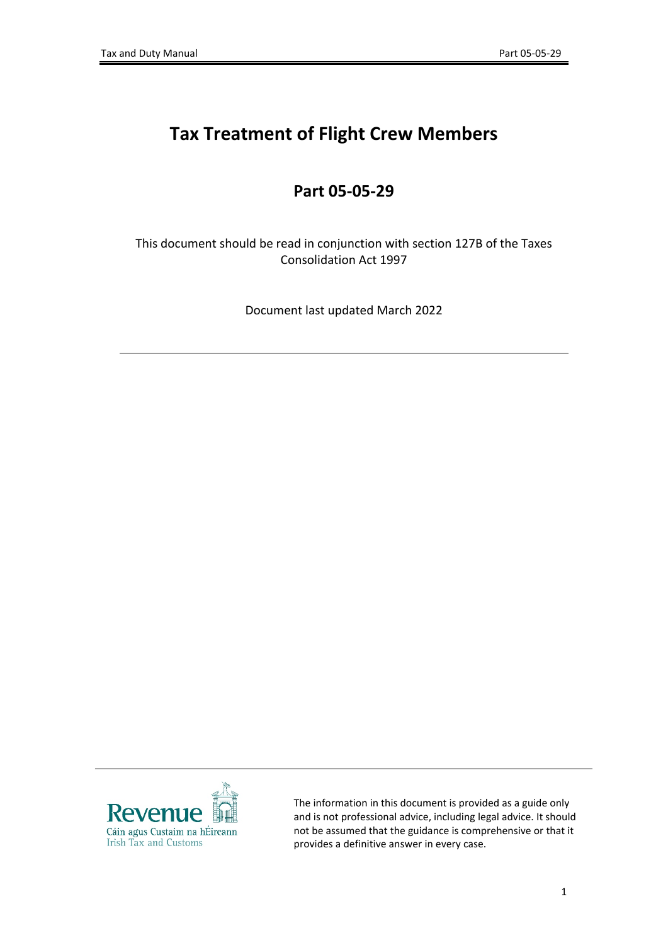# **Tax Treatment of Flight Crew Members**

# **Part 05-05-29**

This document should be read in conjunction with section 127B of the Taxes Consolidation Act 1997

Document last updated March 2022



The information in this document is provided as a guide only and is not professional advice, including legal advice. It should not be assumed that the guidance is comprehensive or that it provides a definitive answer in every case.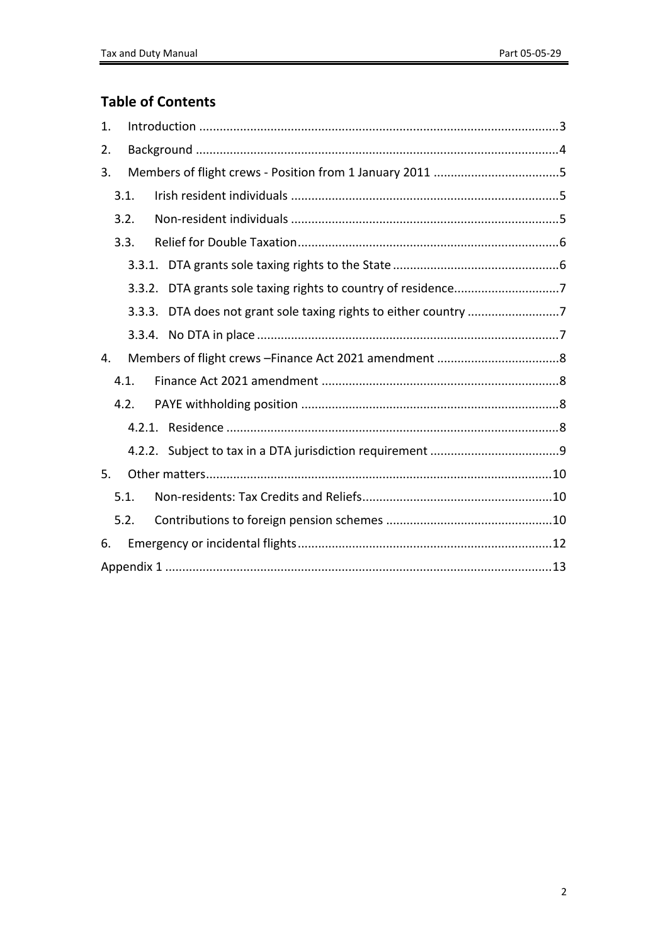# **Table of Contents**

| 1. |        |  |  |  |
|----|--------|--|--|--|
| 2. |        |  |  |  |
| 3. |        |  |  |  |
|    | 3.1.   |  |  |  |
|    | 3.2.   |  |  |  |
|    | 3.3.   |  |  |  |
|    |        |  |  |  |
|    | 3.3.2. |  |  |  |
|    | 3.3.3. |  |  |  |
|    |        |  |  |  |
| 4. |        |  |  |  |
|    | 4.1.   |  |  |  |
|    | 4.2.   |  |  |  |
|    |        |  |  |  |
|    |        |  |  |  |
| 5. |        |  |  |  |
|    | 5.1.   |  |  |  |
|    | 5.2.   |  |  |  |
| 6. |        |  |  |  |
|    |        |  |  |  |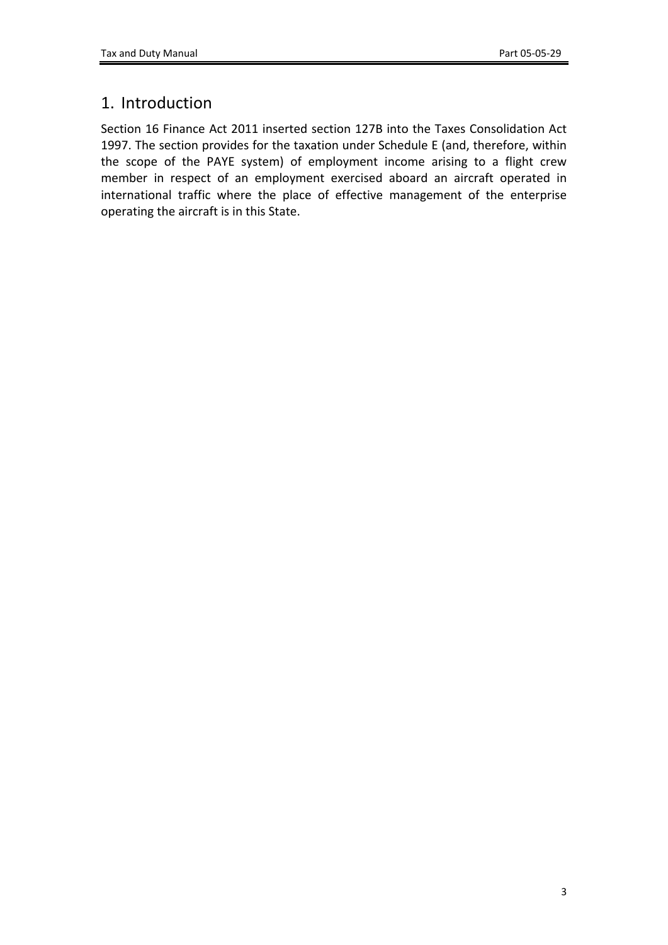# <span id="page-2-0"></span>1. Introduction

Section 16 Finance Act 2011 inserted section 127B into the Taxes Consolidation Act 1997. The section provides for the taxation under Schedule E (and, therefore, within the scope of the PAYE system) of employment income arising to a flight crew member in respect of an employment exercised aboard an aircraft operated in international traffic where the place of effective management of the enterprise operating the aircraft is in this State.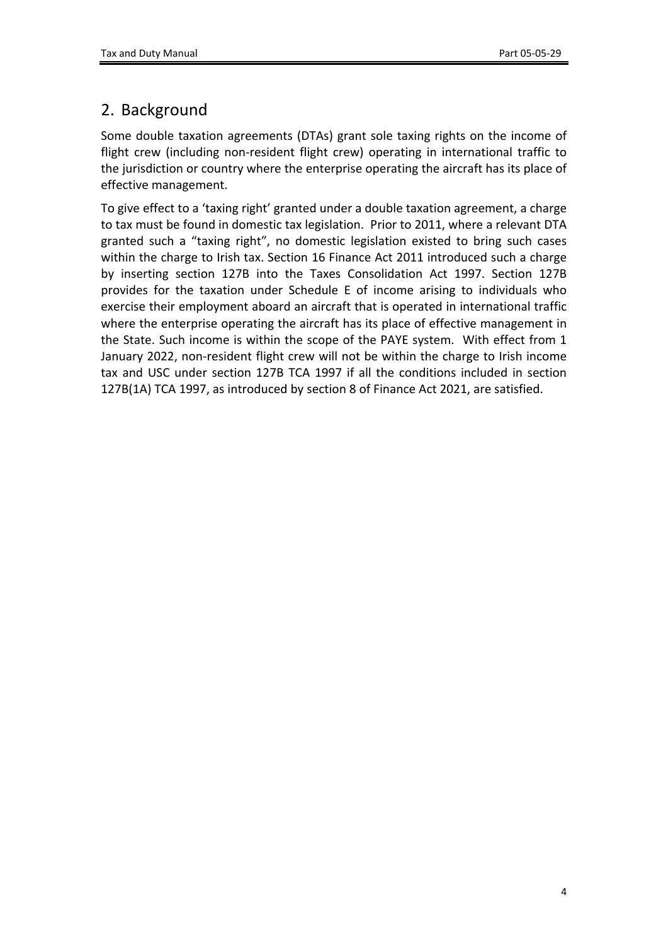# <span id="page-3-0"></span>2. Background

Some double taxation agreements (DTAs) grant sole taxing rights on the income of flight crew (including non-resident flight crew) operating in international traffic to the jurisdiction or country where the enterprise operating the aircraft has its place of effective management.

To give effect to a 'taxing right' granted under a double taxation agreement, a charge to tax must be found in domestic tax legislation. Prior to 2011, where a relevant DTA granted such a "taxing right", no domestic legislation existed to bring such cases within the charge to Irish tax. Section 16 Finance Act 2011 introduced such a charge by inserting section 127B into the Taxes Consolidation Act 1997. Section 127B provides for the taxation under Schedule E of income arising to individuals who exercise their employment aboard an aircraft that is operated in international traffic where the enterprise operating the aircraft has its place of effective management in the State. Such income is within the scope of the PAYE system. With effect from 1 January 2022, non-resident flight crew will not be within the charge to Irish income tax and USC under section 127B TCA 1997 if all the conditions included in section 127B(1A) TCA 1997, as introduced by section 8 of Finance Act 2021, are satisfied.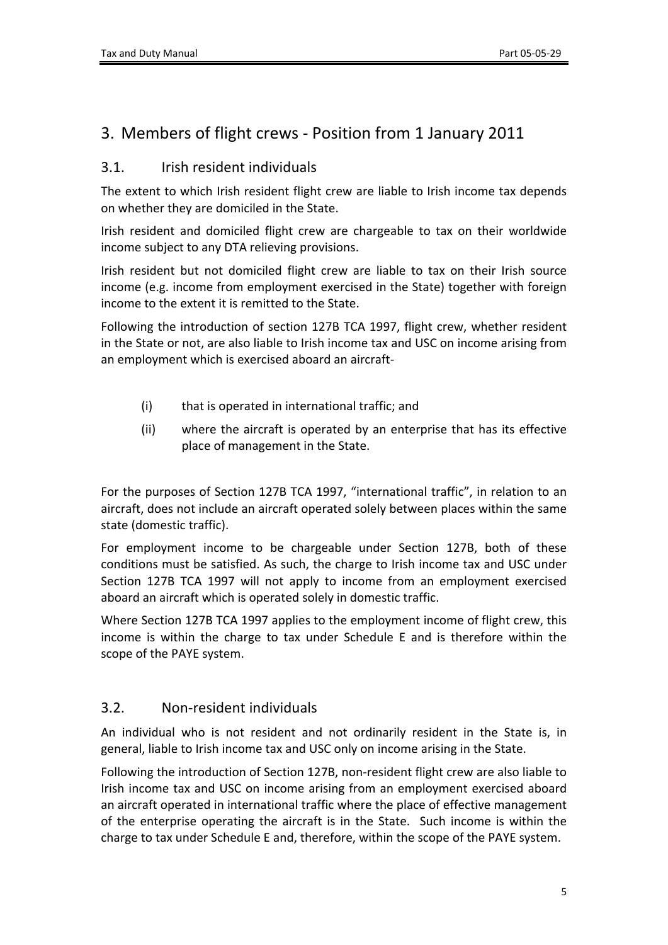# <span id="page-4-0"></span>3. Members of flight crews - Position from 1 January 2011

### <span id="page-4-1"></span>3.1. Irish resident individuals

The extent to which Irish resident flight crew are liable to Irish income tax depends on whether they are domiciled in the State.

Irish resident and domiciled flight crew are chargeable to tax on their worldwide income subject to any DTA relieving provisions.

Irish resident but not domiciled flight crew are liable to tax on their Irish source income (e.g. income from employment exercised in the State) together with foreign income to the extent it is remitted to the State.

Following the introduction of section 127B TCA 1997, flight crew, whether resident in the State or not, are also liable to Irish income tax and USC on income arising from an employment which is exercised aboard an aircraft-

- (i) that is operated in international traffic; and
- (ii) where the aircraft is operated by an enterprise that has its effective place of management in the State.

For the purposes of Section 127B TCA 1997, "international traffic", in relation to an aircraft, does not include an aircraft operated solely between places within the same state (domestic traffic).

For employment income to be chargeable under Section 127B, both of these conditions must be satisfied. As such, the charge to Irish income tax and USC under Section 127B TCA 1997 will not apply to income from an employment exercised aboard an aircraft which is operated solely in domestic traffic.

Where Section 127B TCA 1997 applies to the employment income of flight crew, this income is within the charge to tax under Schedule E and is therefore within the scope of the PAYE system.

### <span id="page-4-2"></span>3.2. Non-resident individuals

An individual who is not resident and not ordinarily resident in the State is, in general, liable to Irish income tax and USC only on income arising in the State.

Following the introduction of Section 127B, non-resident flight crew are also liable to Irish income tax and USC on income arising from an employment exercised aboard an aircraft operated in international traffic where the place of effective management of the enterprise operating the aircraft is in the State. Such income is within the charge to tax under Schedule E and, therefore, within the scope of the PAYE system.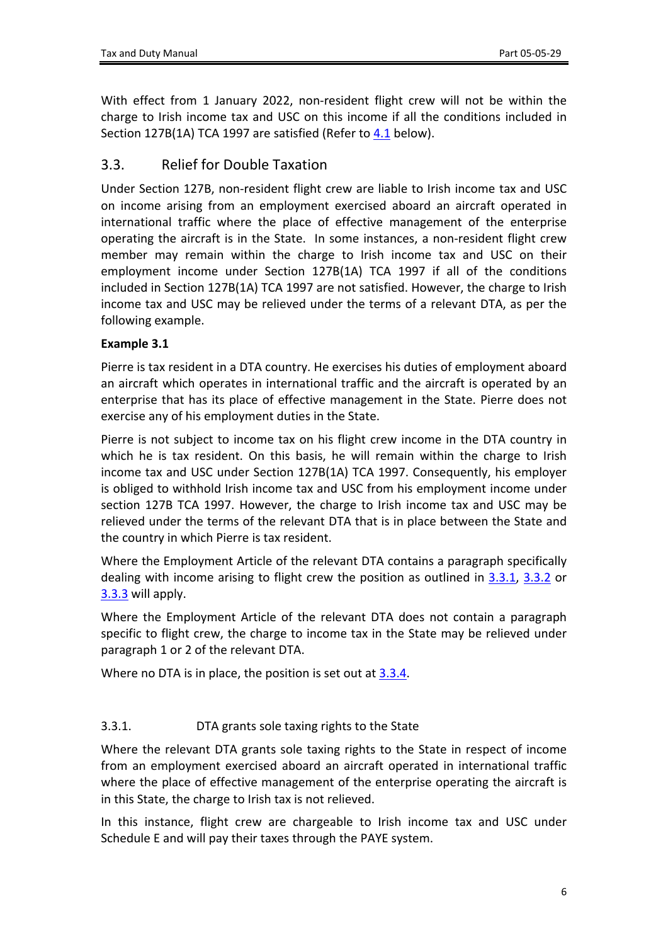With effect from 1 January 2022, non-resident flight crew will not be within the charge to Irish income tax and USC on this income if all the conditions included in Section 127B(1A) TCA 1997 are satisfied (Refer to [4.1](#page-7-4) below).

### <span id="page-5-0"></span>3.3. Relief for Double Taxation

Under Section 127B, non-resident flight crew are liable to Irish income tax and USC on income arising from an employment exercised aboard an aircraft operated in international traffic where the place of effective management of the enterprise operating the aircraft is in the State. In some instances, a non-resident flight crew member may remain within the charge to Irish income tax and USC on their employment income under Section 127B(1A) TCA 1997 if all of the conditions included in Section 127B(1A) TCA 1997 are not satisfied. However, the charge to Irish income tax and USC may be relieved under the terms of a relevant DTA, as per the following example.

### **Example 3.1**

Pierre is tax resident in a DTA country. He exercises his duties of employment aboard an aircraft which operates in international traffic and the aircraft is operated by an enterprise that has its place of effective management in the State. Pierre does not exercise any of his employment duties in the State.

Pierre is not subject to income tax on his flight crew income in the DTA country in which he is tax resident. On this basis, he will remain within the charge to Irish income tax and USC under Section 127B(1A) TCA 1997. Consequently, his employer is obliged to withhold Irish income tax and USC from his employment income under section 127B TCA 1997. However, the charge to Irish income tax and USC may be relieved under the terms of the relevant DTA that is in place between the State and the country in which Pierre is tax resident.

Where the Employment Article of the relevant DTA contains a paragraph specifically dealing with income arising to flight crew the position as outlined in [3.3.1,](#page-5-1) [3.3.2](#page-6-0) or [3.3.3](#page-6-1) will apply.

Where the Employment Article of the relevant DTA does not contain a paragraph specific to flight crew, the charge to income tax in the State may be relieved under paragraph 1 or 2 of the relevant DTA.

Where no DTA is in place, the position is set out at [3.3.4](#page-6-3).

### <span id="page-5-1"></span>3.3.1. DTA grants sole taxing rights to the State

Where the relevant DTA grants sole taxing rights to the State in respect of income from an employment exercised aboard an aircraft operated in international traffic where the place of effective management of the enterprise operating the aircraft is in this State, the charge to Irish tax is not relieved.

In this instance, flight crew are chargeable to Irish income tax and USC under Schedule E and will pay their taxes through the PAYE system.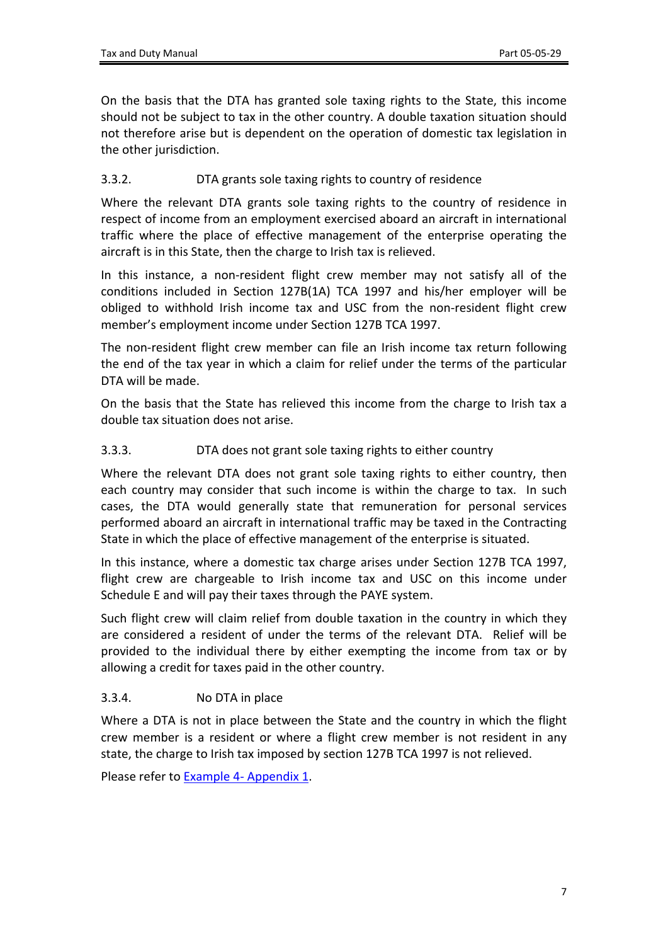On the basis that the DTA has granted sole taxing rights to the State, this income should not be subject to tax in the other country. A double taxation situation should not therefore arise but is dependent on the operation of domestic tax legislation in the other jurisdiction.

### <span id="page-6-0"></span>3.3.2. DTA grants sole taxing rights to country of residence

Where the relevant DTA grants sole taxing rights to the country of residence in respect of income from an employment exercised aboard an aircraft in international traffic where the place of effective management of the enterprise operating the aircraft is in this State, then the charge to Irish tax is relieved.

In this instance, a non-resident flight crew member may not satisfy all of the conditions included in Section 127B(1A) TCA 1997 and his/her employer will be obliged to withhold Irish income tax and USC from the non-resident flight crew member's employment income under Section 127B TCA 1997.

The non-resident flight crew member can file an Irish income tax return following the end of the tax year in which a claim for relief under the terms of the particular DTA will be made.

On the basis that the State has relieved this income from the charge to Irish tax a double tax situation does not arise.

#### <span id="page-6-1"></span>3.3.3. DTA does not grant sole taxing rights to either country

Where the relevant DTA does not grant sole taxing rights to either country, then each country may consider that such income is within the charge to tax. In such cases, the DTA would generally state that remuneration for personal services performed aboard an aircraft in international traffic may be taxed in the Contracting State in which the place of effective management of the enterprise is situated.

In this instance, where a domestic tax charge arises under Section 127B TCA 1997, flight crew are chargeable to Irish income tax and USC on this income under Schedule E and will pay their taxes through the PAYE system.

Such flight crew will claim relief from double taxation in the country in which they are considered a resident of under the terms of the relevant DTA. Relief will be provided to the individual there by either exempting the income from tax or by allowing a credit for taxes paid in the other country.

### <span id="page-6-3"></span><span id="page-6-2"></span>3.3.4. No DTA in place

Where a DTA is not in place between the State and the country in which the flight crew member is a resident or where a flight crew member is not resident in any state, the charge to Irish tax imposed by section 127B TCA 1997 is not relieved.

Please refer to [Example](#page-13-0) [4-](#page-13-0) [Appendix](#page-13-0) [1](#page-13-0).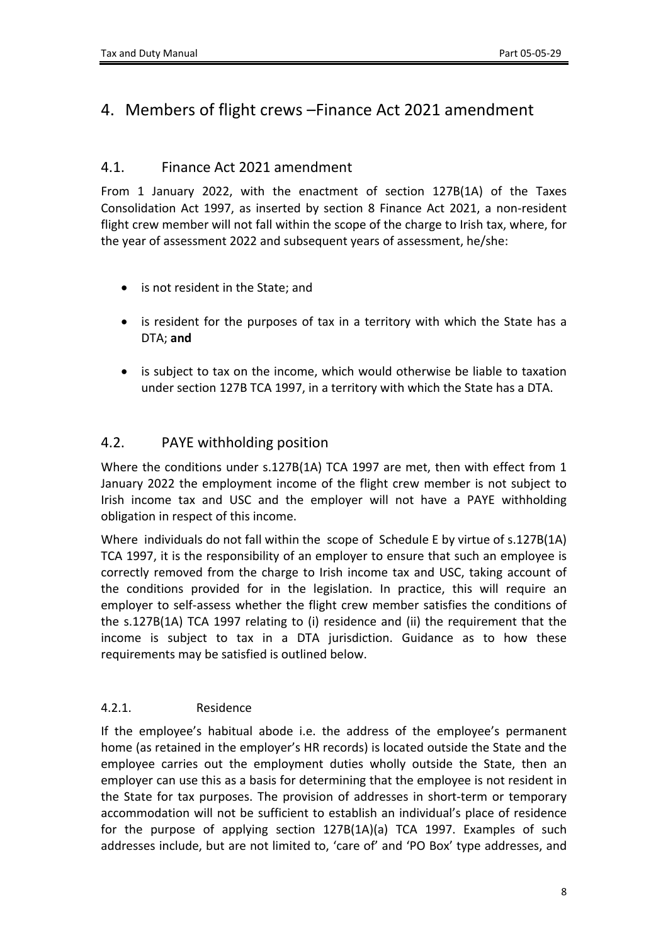# <span id="page-7-0"></span>4. Members of flight crews –Finance Act 2021 amendment

### <span id="page-7-4"></span><span id="page-7-1"></span>4.1. Finance Act 2021 amendment

From 1 January 2022, with the enactment of section 127B(1A) of the Taxes Consolidation Act 1997, as inserted by section 8 Finance Act 2021, a non-resident flight crew member will not fall within the scope of the charge to Irish tax, where, for the year of assessment 2022 and subsequent years of assessment, he/she:

- is not resident in the State; and
- is resident for the purposes of tax in a territory with which the State has a DTA; **and**
- is subject to tax on the income, which would otherwise be liable to taxation under section 127B TCA 1997, in a territory with which the State has a DTA.

## <span id="page-7-2"></span>4.2. PAYE withholding position

Where the conditions under s.127B(1A) TCA 1997 are met, then with effect from 1 January 2022 the employment income of the flight crew member is not subject to Irish income tax and USC and the employer will not have a PAYE withholding obligation in respect of this income.

Where individuals do not fall within the scope of Schedule E by virtue of s.127B(1A) TCA 1997, it is the responsibility of an employer to ensure that such an employee is correctly removed from the charge to Irish income tax and USC, taking account of the conditions provided for in the legislation. In practice, this will require an employer to self-assess whether the flight crew member satisfies the conditions of the s.127B(1A) TCA 1997 relating to (i) residence and (ii) the requirement that the income is subject to tax in a DTA jurisdiction. Guidance as to how these requirements may be satisfied is outlined below.

### <span id="page-7-3"></span>4.2.1. Residence

If the employee's habitual abode i.e. the address of the employee's permanent home (as retained in the employer's HR records) is located outside the State and the employee carries out the employment duties wholly outside the State, then an employer can use this as a basis for determining that the employee is not resident in the State for tax purposes. The provision of addresses in short-term or temporary accommodation will not be sufficient to establish an individual's place of residence for the purpose of applying section 127B(1A)(a) TCA 1997. Examples of such addresses include, but are not limited to, 'care of' and 'PO Box' type addresses, and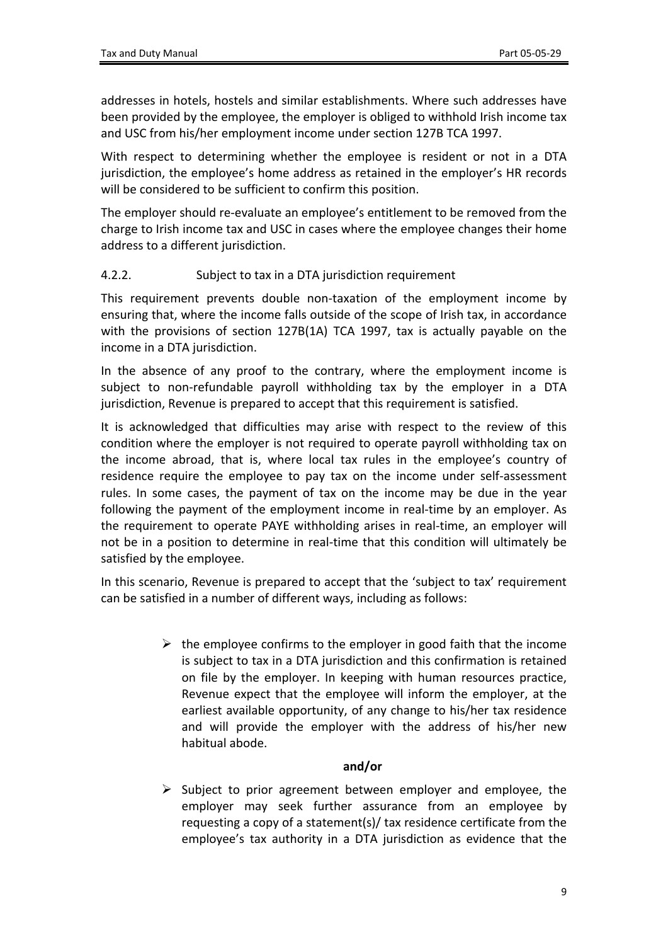addresses in hotels, hostels and similar establishments. Where such addresses have been provided by the employee, the employer is obliged to withhold Irish income tax and USC from his/her employment income under section 127B TCA 1997.

With respect to determining whether the employee is resident or not in a DTA jurisdiction, the employee's home address as retained in the employer's HR records will be considered to be sufficient to confirm this position.

The employer should re-evaluate an employee's entitlement to be removed from the charge to Irish income tax and USC in cases where the employee changes their home address to a different jurisdiction.

#### <span id="page-8-0"></span>4.2.2. Subject to tax in a DTA jurisdiction requirement

This requirement prevents double non-taxation of the employment income by ensuring that, where the income falls outside of the scope of Irish tax, in accordance with the provisions of section 127B(1A) TCA 1997, tax is actually payable on the income in a DTA jurisdiction.

In the absence of any proof to the contrary, where the employment income is subject to non-refundable payroll withholding tax by the employer in a DTA jurisdiction, Revenue is prepared to accept that this requirement is satisfied.

It is acknowledged that difficulties may arise with respect to the review of this condition where the employer is not required to operate payroll withholding tax on the income abroad, that is, where local tax rules in the employee's country of residence require the employee to pay tax on the income under self-assessment rules. In some cases, the payment of tax on the income may be due in the year following the payment of the employment income in real-time by an employer. As the requirement to operate PAYE withholding arises in real-time, an employer will not be in a position to determine in real-time that this condition will ultimately be satisfied by the employee.

In this scenario, Revenue is prepared to accept that the 'subject to tax' requirement can be satisfied in a number of different ways, including as follows:

> $\triangleright$  the employee confirms to the employer in good faith that the income is subject to tax in a DTA jurisdiction and this confirmation is retained on file by the employer. In keeping with human resources practice, Revenue expect that the employee will inform the employer, at the earliest available opportunity, of any change to his/her tax residence and will provide the employer with the address of his/her new habitual abode.

#### **and/or**

 $\triangleright$  Subject to prior agreement between employer and employee, the employer may seek further assurance from an employee by requesting a copy of a statement(s)/ tax residence certificate from the employee's tax authority in a DTA jurisdiction as evidence that the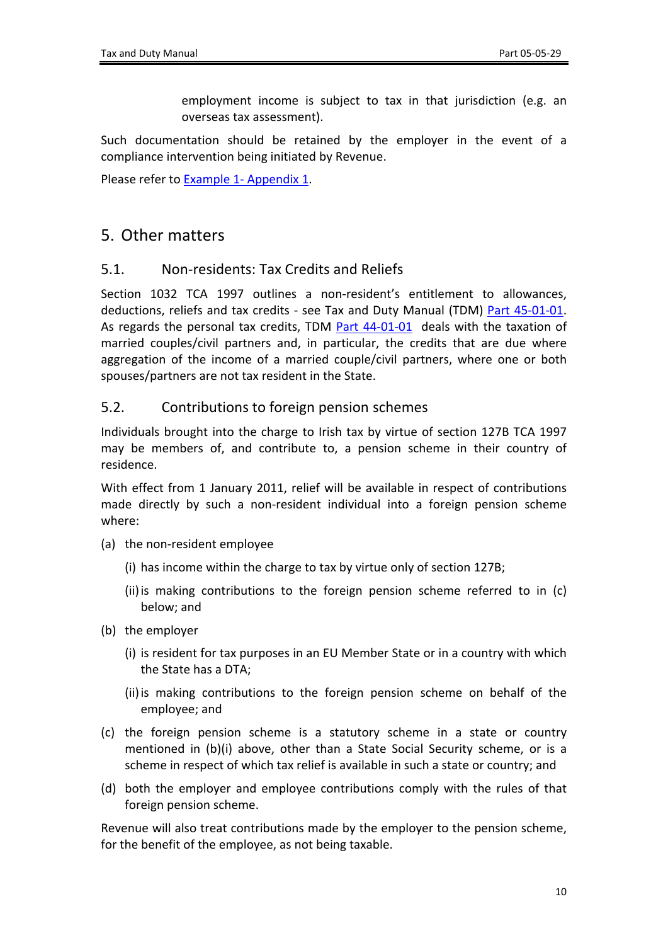employment income is subject to tax in that jurisdiction (e.g. an overseas tax assessment).

Such documentation should be retained by the employer in the event of a compliance intervention being initiated by Revenue.

Please refer to [Example](#page-12-1) [1-](#page-12-1) [Appendix](#page-12-1) [1](#page-12-1).

## <span id="page-9-0"></span>5. Other matters

### <span id="page-9-1"></span>5.1. Non-residents: Tax Credits and Reliefs

Section 1032 TCA 1997 outlines a non-resident's entitlement to allowances, deductions, reliefs and tax credits - see Tax and Duty Manual (TDM) [Part](https://www.revenue.ie/en/tax-professionals/tdm/income-tax-capital-gains-tax-corporation-tax/part-45/45-01-01.pdf) [45-01-01](https://www.revenue.ie/en/tax-professionals/tdm/income-tax-capital-gains-tax-corporation-tax/part-45/45-01-01.pdf). As regards the personal tax credits, TDM [Part](https://www.revenue.ie/en/tax-professionals/tdm/income-tax-capital-gains-tax-corporation-tax/part-44/44-01-01.pdf) [44-01-01](https://www.revenue.ie/en/tax-professionals/tdm/income-tax-capital-gains-tax-corporation-tax/part-44/44-01-01.pdf) deals with the taxation of married couples/civil partners and, in particular, the credits that are due where aggregation of the income of a married couple/civil partners, where one or both spouses/partners are not tax resident in the State.

### <span id="page-9-2"></span>5.2. Contributions to foreign pension schemes

Individuals brought into the charge to Irish tax by virtue of section 127B TCA 1997 may be members of, and contribute to, a pension scheme in their country of residence.

With effect from 1 January 2011, relief will be available in respect of contributions made directly by such a non-resident individual into a foreign pension scheme where:

- (a) the non-resident employee
	- (i) has income within the charge to tax by virtue only of section 127B;
	- (ii)is making contributions to the foreign pension scheme referred to in (c) below; and
- (b) the employer
	- (i) is resident for tax purposes in an EU Member State or in a country with which the State has a DTA;
	- (ii)is making contributions to the foreign pension scheme on behalf of the employee; and
- (c) the foreign pension scheme is a statutory scheme in a state or country mentioned in (b)(i) above, other than a State Social Security scheme, or is a scheme in respect of which tax relief is available in such a state or country; and
- (d) both the employer and employee contributions comply with the rules of that foreign pension scheme.

Revenue will also treat contributions made by the employer to the pension scheme, for the benefit of the employee, as not being taxable.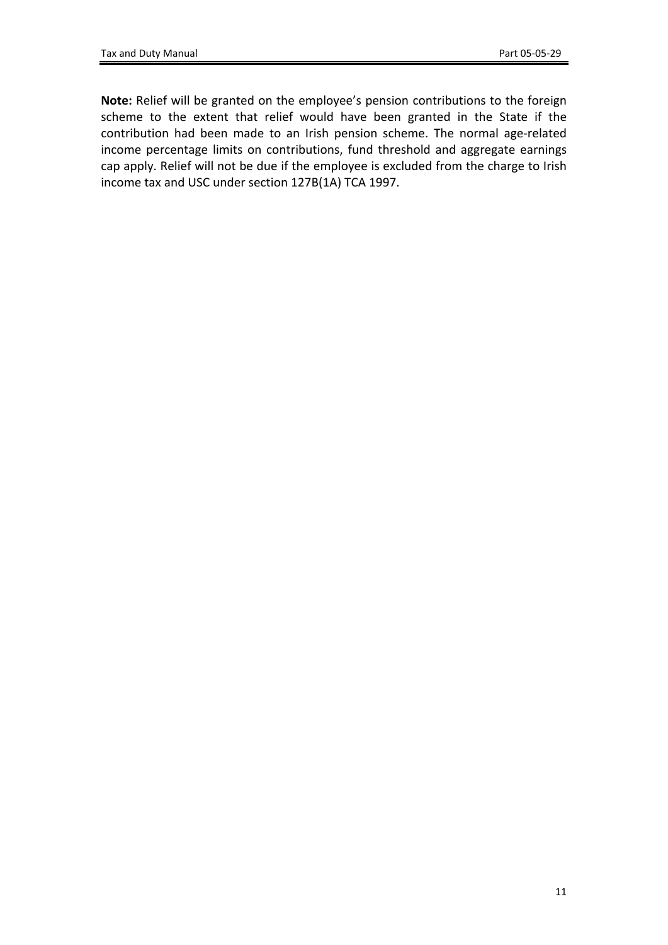**Note:** Relief will be granted on the employee's pension contributions to the foreign scheme to the extent that relief would have been granted in the State if the contribution had been made to an Irish pension scheme. The normal age-related income percentage limits on contributions, fund threshold and aggregate earnings cap apply. Relief will not be due if the employee is excluded from the charge to Irish income tax and USC under section 127B(1A) TCA 1997.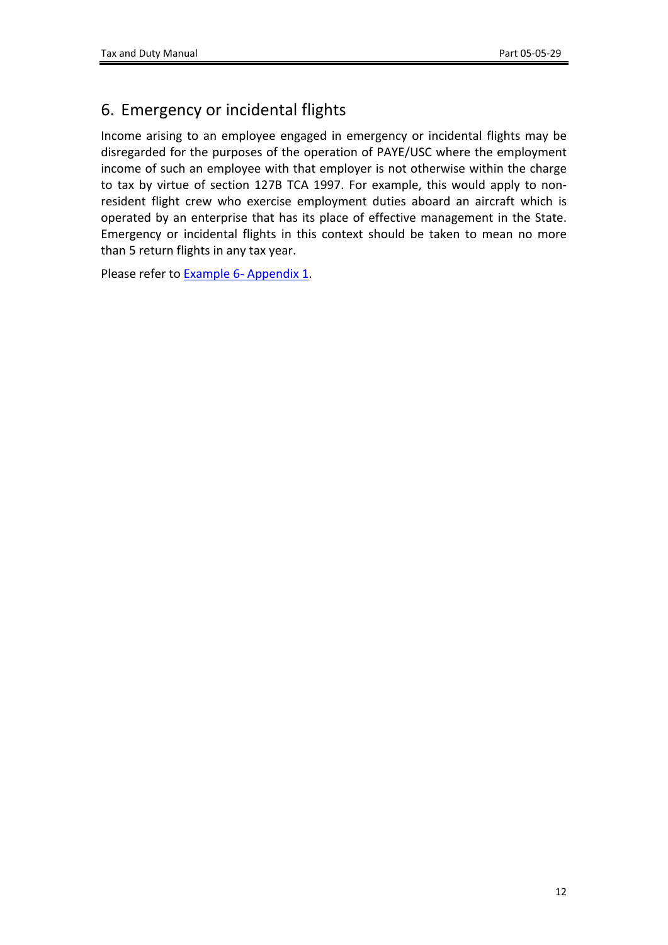# <span id="page-11-0"></span>6. Emergency or incidental flights

Income arising to an employee engaged in emergency or incidental flights may be disregarded for the purposes of the operation of PAYE/USC where the employment income of such an employee with that employer is not otherwise within the charge to tax by virtue of section 127B TCA 1997. For example, this would apply to nonresident flight crew who exercise employment duties aboard an aircraft which is operated by an enterprise that has its place of effective management in the State. Emergency or incidental flights in this context should be taken to mean no more than 5 return flights in any tax year.

Please refer to **[Example](#page-14-0) [6-](#page-14-0) [Appendix](#page-14-0) [1](#page-14-0).**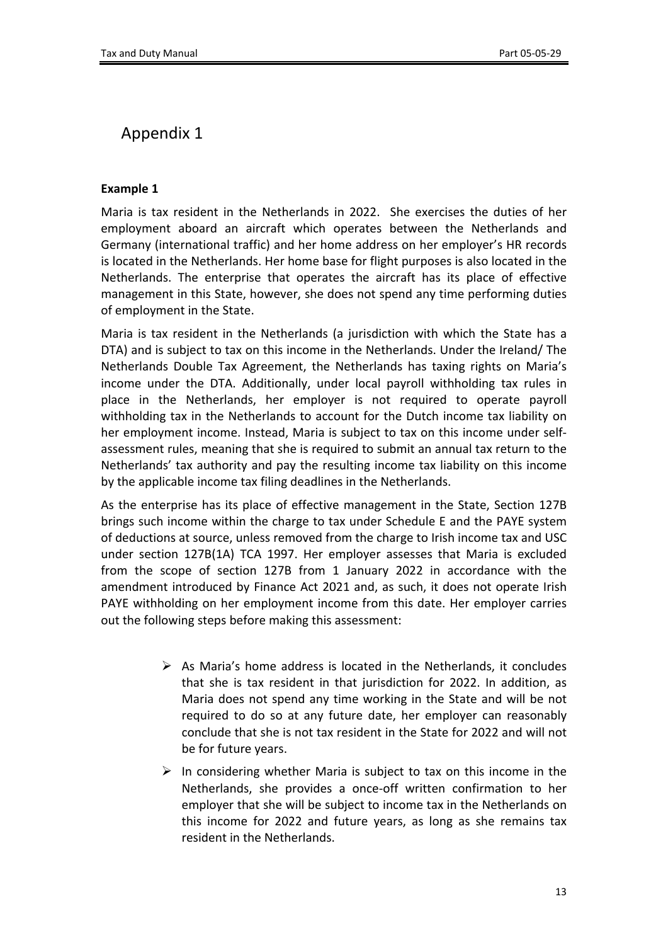## <span id="page-12-0"></span>Appendix 1

#### <span id="page-12-1"></span>**Example 1**

Maria is tax resident in the Netherlands in 2022. She exercises the duties of her employment aboard an aircraft which operates between the Netherlands and Germany (international traffic) and her home address on her employer's HR records is located in the Netherlands. Her home base for flight purposes is also located in the Netherlands. The enterprise that operates the aircraft has its place of effective management in this State, however, she does not spend any time performing duties of employment in the State.

Maria is tax resident in the Netherlands (a jurisdiction with which the State has a DTA) and is subject to tax on this income in the Netherlands. Under the Ireland/ The Netherlands Double Tax Agreement, the Netherlands has taxing rights on Maria's income under the DTA. Additionally, under local payroll withholding tax rules in place in the Netherlands, her employer is not required to operate payroll withholding tax in the Netherlands to account for the Dutch income tax liability on her employment income. Instead, Maria is subject to tax on this income under selfassessment rules, meaning that she is required to submit an annual tax return to the Netherlands' tax authority and pay the resulting income tax liability on this income by the applicable income tax filing deadlines in the Netherlands.

As the enterprise has its place of effective management in the State, Section 127B brings such income within the charge to tax under Schedule E and the PAYE system of deductions at source, unless removed from the charge to Irish income tax and USC under section 127B(1A) TCA 1997. Her employer assesses that Maria is excluded from the scope of section 127B from 1 January 2022 in accordance with the amendment introduced by Finance Act 2021 and, as such, it does not operate Irish PAYE withholding on her employment income from this date. Her employer carries out the following steps before making this assessment:

- $\triangleright$  As Maria's home address is located in the Netherlands, it concludes that she is tax resident in that jurisdiction for 2022. In addition, as Maria does not spend any time working in the State and will be not required to do so at any future date, her employer can reasonably conclude that she is not tax resident in the State for 2022 and will not be for future years.
- $\triangleright$  In considering whether Maria is subject to tax on this income in the Netherlands, she provides a once-off written confirmation to her employer that she will be subject to income tax in the Netherlands on this income for 2022 and future years, as long as she remains tax resident in the Netherlands.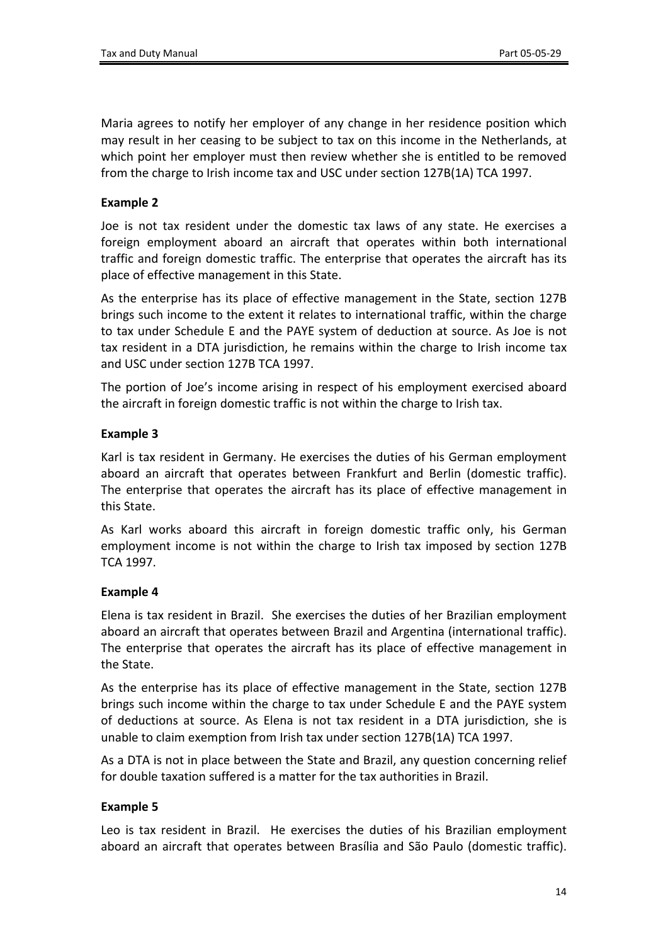Maria agrees to notify her employer of any change in her residence position which may result in her ceasing to be subject to tax on this income in the Netherlands, at which point her employer must then review whether she is entitled to be removed from the charge to Irish income tax and USC under section 127B(1A) TCA 1997.

#### **Example 2**

Joe is not tax resident under the domestic tax laws of any state. He exercises a foreign employment aboard an aircraft that operates within both international traffic and foreign domestic traffic. The enterprise that operates the aircraft has its place of effective management in this State.

As the enterprise has its place of effective management in the State, section 127B brings such income to the extent it relates to international traffic, within the charge to tax under Schedule E and the PAYE system of deduction at source. As Joe is not tax resident in a DTA jurisdiction, he remains within the charge to Irish income tax and USC under section 127B TCA 1997.

The portion of Joe's income arising in respect of his employment exercised aboard the aircraft in foreign domestic traffic is not within the charge to Irish tax.

#### **Example 3**

Karl is tax resident in Germany. He exercises the duties of his German employment aboard an aircraft that operates between Frankfurt and Berlin (domestic traffic). The enterprise that operates the aircraft has its place of effective management in this State.

As Karl works aboard this aircraft in foreign domestic traffic only, his German employment income is not within the charge to Irish tax imposed by section 127B TCA 1997.

#### <span id="page-13-0"></span>**Example 4**

Elena is tax resident in Brazil. She exercises the duties of her Brazilian employment aboard an aircraft that operates between Brazil and Argentina (international traffic). The enterprise that operates the aircraft has its place of effective management in the State.

As the enterprise has its place of effective management in the State, section 127B brings such income within the charge to tax under Schedule E and the PAYE system of deductions at source. As Elena is not tax resident in a DTA jurisdiction, she is unable to claim exemption from Irish tax under section 127B(1A) TCA 1997.

As a DTA is not in place between the State and Brazil, any question concerning relief for double taxation suffered is a matter for the tax authorities in Brazil.

#### **Example 5**

Leo is tax resident in Brazil. He exercises the duties of his Brazilian employment aboard an aircraft that operates between Brasília and São Paulo (domestic traffic).